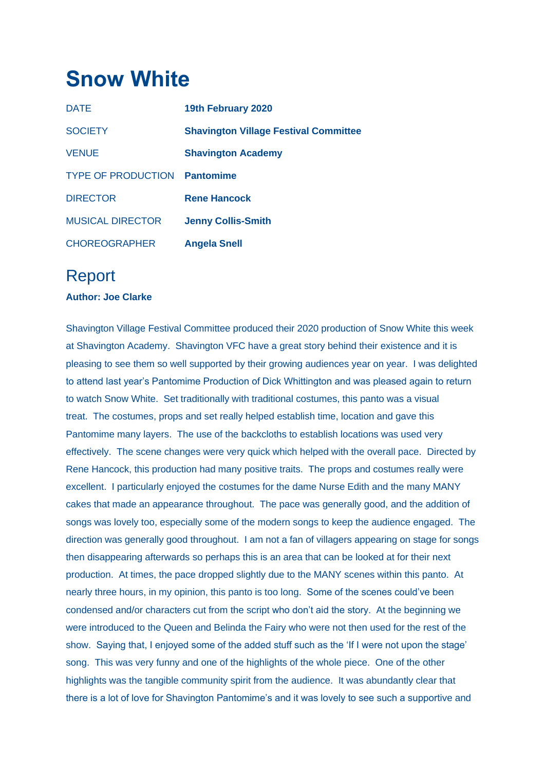## **Snow White**

| <b>DATE</b>               | 19th February 2020                           |
|---------------------------|----------------------------------------------|
| <b>SOCIETY</b>            | <b>Shavington Village Festival Committee</b> |
| <b>VENUE</b>              | <b>Shavington Academy</b>                    |
| <b>TYPE OF PRODUCTION</b> | <b>Pantomime</b>                             |
| <b>DIRECTOR</b>           | <b>Rene Hancock</b>                          |
| <b>MUSICAL DIRECTOR</b>   | <b>Jenny Collis-Smith</b>                    |
| <b>CHOREOGRAPHER</b>      | <b>Angela Snell</b>                          |

## Report

## **Author: Joe Clarke**

Shavington Village Festival Committee produced their 2020 production of Snow White this week at Shavington Academy. Shavington VFC have a great story behind their existence and it is pleasing to see them so well supported by their growing audiences year on year. I was delighted to attend last year's Pantomime Production of Dick Whittington and was pleased again to return to watch Snow White. Set traditionally with traditional costumes, this panto was a visual treat. The costumes, props and set really helped establish time, location and gave this Pantomime many layers. The use of the backcloths to establish locations was used very effectively. The scene changes were very quick which helped with the overall pace. Directed by Rene Hancock, this production had many positive traits. The props and costumes really were excellent. I particularly enjoyed the costumes for the dame Nurse Edith and the many MANY cakes that made an appearance throughout. The pace was generally good, and the addition of songs was lovely too, especially some of the modern songs to keep the audience engaged. The direction was generally good throughout. I am not a fan of villagers appearing on stage for songs then disappearing afterwards so perhaps this is an area that can be looked at for their next production. At times, the pace dropped slightly due to the MANY scenes within this panto. At nearly three hours, in my opinion, this panto is too long. Some of the scenes could've been condensed and/or characters cut from the script who don't aid the story. At the beginning we were introduced to the Queen and Belinda the Fairy who were not then used for the rest of the show. Saying that, I enjoyed some of the added stuff such as the 'If I were not upon the stage' song. This was very funny and one of the highlights of the whole piece. One of the other highlights was the tangible community spirit from the audience. It was abundantly clear that there is a lot of love for Shavington Pantomime's and it was lovely to see such a supportive and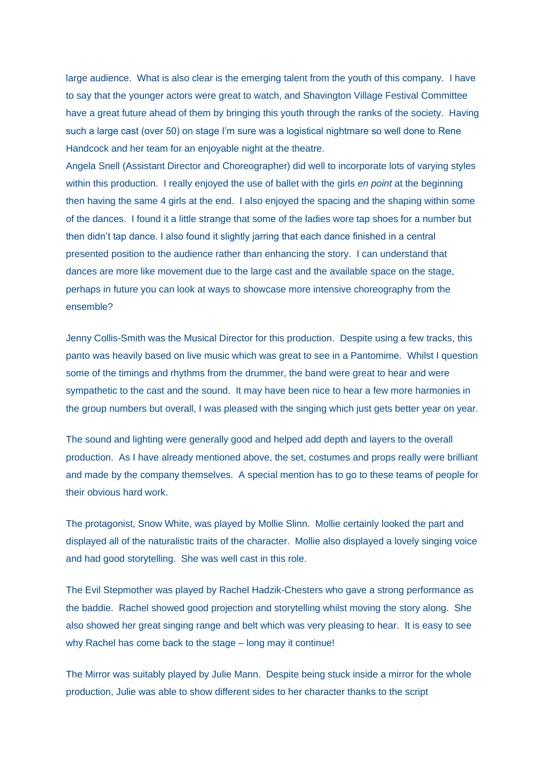large audience. What is also clear is the emerging talent from the youth of this company. I have to say that the younger actors were great to watch, and Shavington Village Festival Committee have a great future ahead of them by bringing this youth through the ranks of the society. Having such a large cast (over 50) on stage I'm sure was a logistical nightmare so well done to Rene Handcock and her team for an enjoyable night at the theatre.

Angela Snell (Assistant Director and Choreographer) did well to incorporate lots of varying styles within this production. I really enjoyed the use of ballet with the girls *en point* at the beginning then having the same 4 girls at the end. I also enjoyed the spacing and the shaping within some of the dances. I found it a little strange that some of the ladies wore tap shoes for a number but then didn't tap dance. I also found it slightly jarring that each dance finished in a central presented position to the audience rather than enhancing the story. I can understand that dances are more like movement due to the large cast and the available space on the stage, perhaps in future you can look at ways to showcase more intensive choreography from the ensemble?

Jenny Collis-Smith was the Musical Director for this production. Despite using a few tracks, this panto was heavily based on live music which was great to see in a Pantomime. Whilst I question some of the timings and rhythms from the drummer, the band were great to hear and were sympathetic to the cast and the sound. It may have been nice to hear a few more harmonies in the group numbers but overall, I was pleased with the singing which just gets better year on year.

The sound and lighting were generally good and helped add depth and layers to the overall production. As I have already mentioned above, the set, costumes and props really were brilliant and made by the company themselves. A special mention has to go to these teams of people for their obvious hard work.

The protagonist, Snow White, was played by Mollie Slinn. Mollie certainly looked the part and displayed all of the naturalistic traits of the character. Mollie also displayed a lovely singing voice and had good storytelling. She was well cast in this role.

The Evil Stepmother was played by Rachel Hadzik-Chesters who gave a strong performance as the baddie. Rachel showed good projection and storytelling whilst moving the story along. She also showed her great singing range and belt which was very pleasing to hear. It is easy to see why Rachel has come back to the stage – long may it continue!

The Mirror was suitably played by Julie Mann. Despite being stuck inside a mirror for the whole production, Julie was able to show different sides to her character thanks to the script